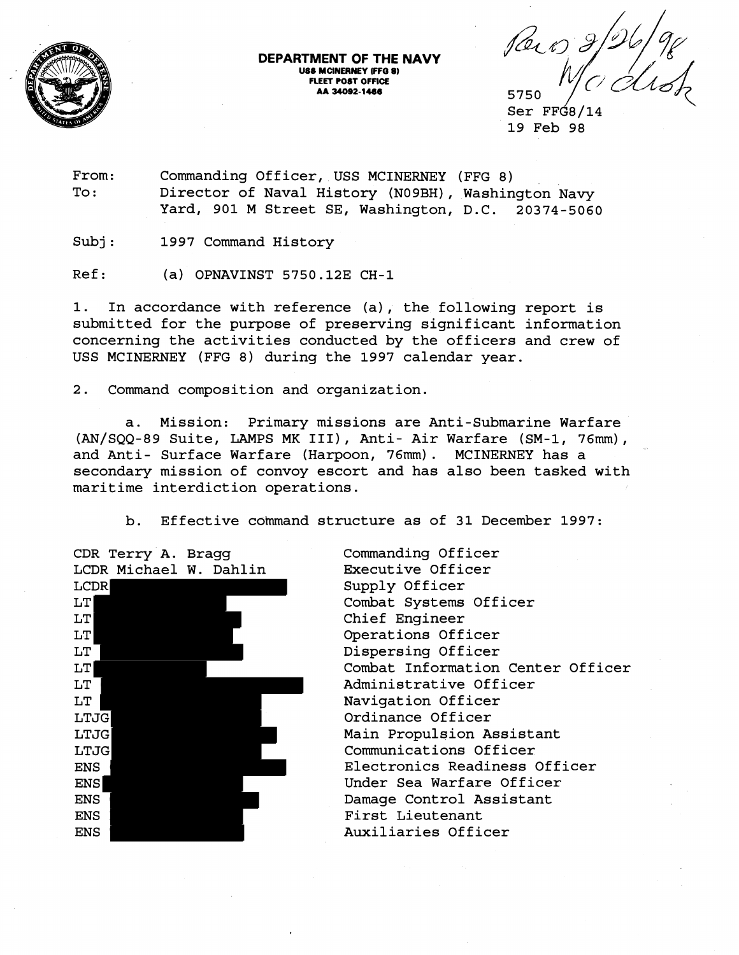

**DEPARTMENT OF THE NAVY USS MCINERNEY IFF0** *8)*  **FLEET POST OFFICE AA 34092-1486** 5750

Paro 21

 $Ser$   $FFG8/14$ 19 Feb 98

From: Commanding Officer, USS MCINERNEY (FFG 8) To: Director of Naval History (NO9BH), Washington Navy Yard, 901 M Street SE, Washington, D.C. 20374-5060

Subj: 1997 Command History

 $Ref:$  (a) OPNAVINST 5750.12E CH-1

1. In accordance with reference (a), the following report is submitted for the purpose of preserving significant information concerning the activities conducted by the officers and crew of USS MCINERNEY (FFG 8) during the 1997 calendar year.

 $2.$ Command composition and organization.

a. Mission: Primary missions are Anti-Submarine Warfare (AN/SQQ-89 Suite, LAMPS MK III), Anti- Air Warfare (SM-1, 76mm), and Anti- Surface Warfare (Harpoon, 76mm). MCINERNEY has a secondary mission of convoy escort and has also been tasked with maritime interdiction operations.

b. Effective command structure as of 31 December 1997:



Commanding Officer Executive Officer Supply Officer Combat Systems Officer Chief Engineer Operations Officer Dispersing Officer Combat Information Center Officer Administrative Officer Navigation Officer Ordinance Officer Main Propulsion Assistant Communications Officer Electronics Readiness Officer Under Sea Warfare Officer Damage Control Assistant First Lieutenant Auxiliaries Officer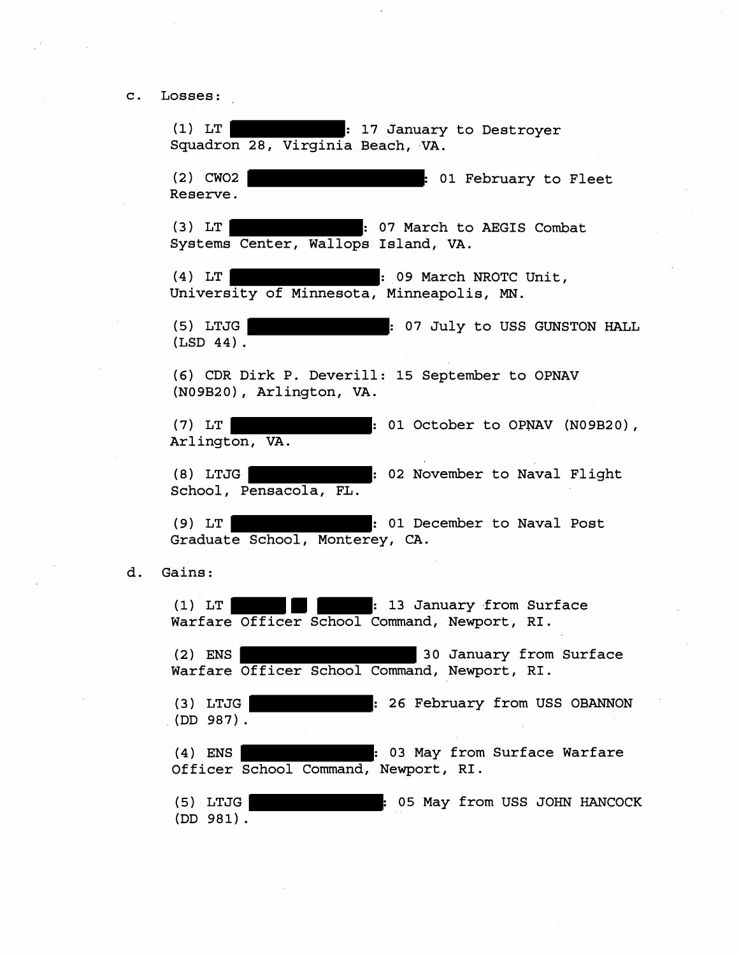c. Losses:

d.

(1) LT : 17 January to Destroyer Squadron 28, Virginia Beach, VA. (2) CW02 : 01 February to Fleet Reserve. (3) LT | . 07 March to AEGIS Combat Systems Center, Wallops Island, VA. (4) LT : 09 March NROTC Unit, University of Minnesota, Minneapolis, **MN.**  (5) LTJG : 07 July to USS GUNSTON HALL  $(LSD 44)$ . (6) CDR Dirk P. Deverill: 15 September to OPNAV (N09B20) , Arlington, VA. (7) LT : 01 October to OPNAV (N09B20), Arlington, VA. **(8)** LTJG : 02 November to Naval Flight School, Pensacola, FL . (9) LT | and | contract to Naval Post Graduate School, Monterey, CA. Gains : (1) LT : 13 January ,from Surface Warfare Officer School Command, Newport, RI. (2) ENS 30 January from Surface Warfare Officer School Command, Newport, RI. (3) LTJG **: 26 February from USS OBANNON** (DD 987). (4) ENS : 03 May from Surface Warfare Officer School Command, Newport, RI. (5) LTJG : 05 May from USS JOHN HANCOCK (DD 981) .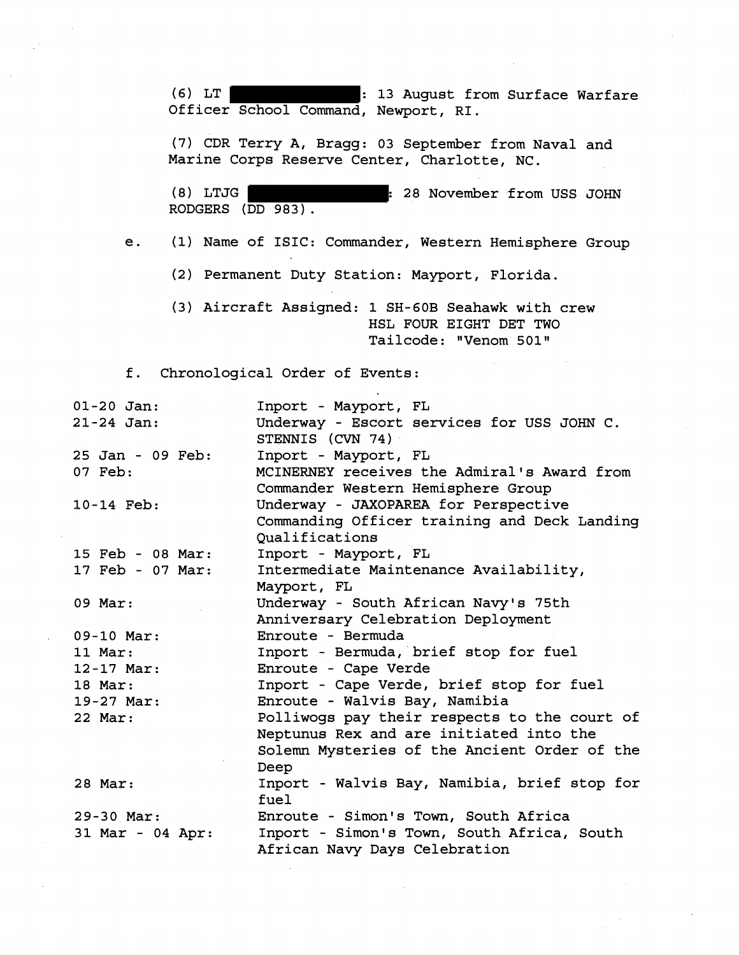**(6)** LT : **13** August from Surface Warfare Officer School Command, Newport, RI.

**(7)** CDR Terry A, Bragg: **03** September from Naval and Marine Corps Reserve Center, Charlotte, NC.

**(8)** LTJG : **28** November from USS JOHN RODGERS (DD **983).** 

e. (1) Name of ISIC: Commander, Western Hemisphere Group

- **(2)** Permanent Duty Station: Mayport, Florida.
- (3) Aircraft Assigned: **1** SH-60B Seahawk with crew HSL FOUR EIGHT DET TWO Tailcode: ''Venom **501"**

f. Chronological Order of Events:

| $01 - 20$ Jan:   | Inport - Mayport, FL                         |
|------------------|----------------------------------------------|
| $21 - 24$ Jan:   | Underway - Escort services for USS JOHN C.   |
|                  | STENNIS (CVN 74)                             |
| 25 Jan - 09 Feb: | Inport - Mayport, FL                         |
| 07 Feb:          | MCINERNEY receives the Admiral's Award from  |
|                  | Commander Western Hemisphere Group           |
| 10-14 Feb:       | Underway - JAXOPAREA for Perspective         |
|                  | Commanding Officer training and Deck Landing |
|                  | Oualifications                               |
| 15 Feb - 08 Mar: | Inport - Mayport, FL                         |
| 17 Feb - 07 Mar: | Intermediate Maintenance Availability,       |
|                  | Mayport, FL                                  |
| 09 Mar:          | Underway - South African Navy's 75th         |
|                  | Anniversary Celebration Deployment           |
| $09-10$ Mar:     | Enroute - Bermuda                            |
| 11 Mar:          | Inport - Bermuda, brief stop for fuel        |
| $12 - 17$ Mar:   | Enroute - Cape Verde                         |
| 18 Mar:          | Inport - Cape Verde, brief stop for fuel     |
| 19-27 Mar:       | Enroute - Walvis Bay, Namibia                |
| 22 Mar:          | Polliwogs pay their respects to the court of |
|                  | Neptunus Rex and are initiated into the      |
|                  | Solemn Mysteries of the Ancient Order of the |
|                  | Deep                                         |
| 28 Mar:          | Inport - Walvis Bay, Namibia, brief stop for |
|                  | fuel                                         |
| 29-30 Mar:       | Enroute - Simon's Town, South Africa         |
| 31 Mar - 04 Apr: | Inport - Simon's Town, South Africa, South   |
|                  | African Navy Days Celebration                |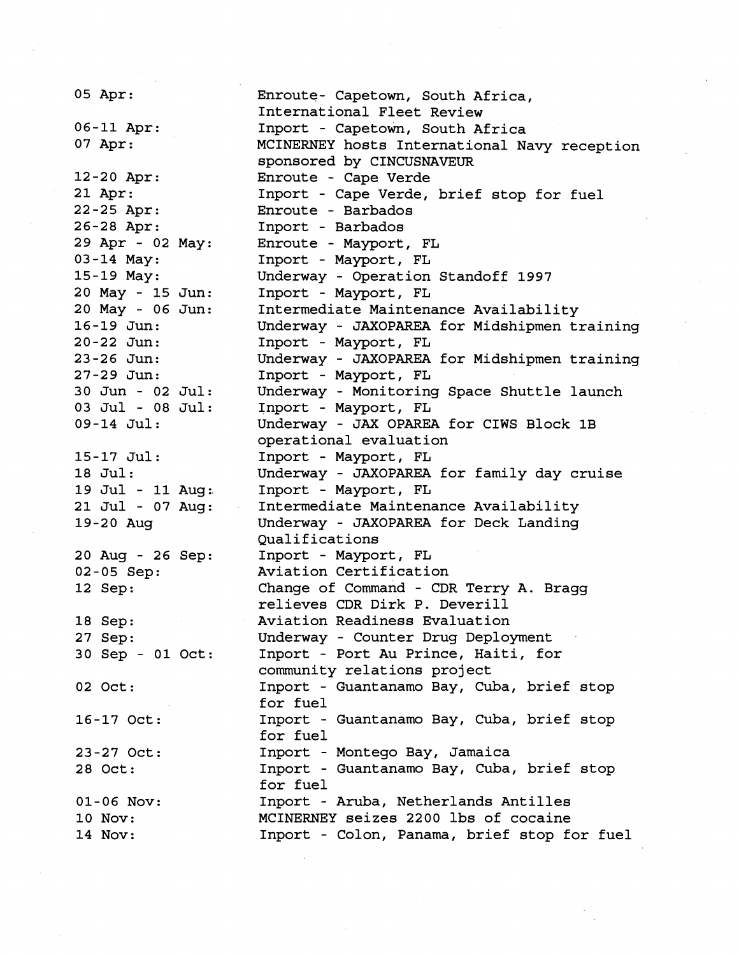**05** Apr: Enroute- Capetown, South Africa, International Fleet Review **06-11** Apr: Inport - Capetown, South Africa **07** Apr: MCINERNEY hosts International Navy reception sponsored by CINCUSNAVEUR **12-20** Apr: Enroute - Cape Verde **21** Apr: Inport - Cape Verde, brief stop for fuel **22-25** Apr: Enroute - Barbados **26-28** Apr: Inport - Barbados **29** Apr - **02**  May : Enroute - Mayport, FL **03-14** May: Inport - Mayport, FL **15-19** May: Underway - Operation Standoff **1997 20** May - **15**  Jun : Inport - Mayport, FL **20** May - **06**  Jun : Intermediate Maintenance Availability **16-19** Jun: Underway - JAXOPAREA for Midshipmen training **20-22** Jun: Inport - Mayport, FL Underway - JAXOPAREA for Midshipmen training **23-26** Jun: Inport - Mayport, FL **27-29** Jun: **30** Jun - **02**  Jul : Underway - Monitoring Space Shuttle launch 03 Jul - 08 Jul: Inport - Mayport, FL 09-14 Jul: Underway - JAX OPAREA for CIWS Block 1B operational evaluation **15-17** Jul: Inport - Mayport, FL Underway - JAXOPAREA for family day cruise **18** Jul: 19 Jul - 11 Aug: Inport - Mayport, FL **21** Ju~ - **07**  Aug : Intermediate Maintenance Availability 19-20 Aug Underway - JAXOPAREA for Deck Landing Qualifications 20 Aug - 26 Sep: Inport - Mayport, FL **02-05** Sep: Aviation Certification Change of Command - CDR Terry A. Bragg **12** Sep: relieves CDR Dirk P. Deverill **18** Sep: Aviation Readiness Evaluation Underway - Counter Drug Deployment **27** Sep: **30** Sep - **01**  Oct: Inport - Port Au Prince, Haiti, for community relations project Inport - Guantanamo Bay, Cuba, brief stop **02** Oct: for fuel 16-17 Oct: Inport - Guantanamo Bay, Cuba, brief stop for fuel Inport - Montego Bay, Jamaica **23-27** Oct: **28** Oct: Inport - Guantanamo Bay, Cuba, brief stop for fuel Inport - Aruba, Netherlands Antilles **01-06** NOV: MCINERNEY seizes **2200** lbs of cocaine **10** Nov: **14** Nov: Inport - Colon, Panama, brief stop for fuel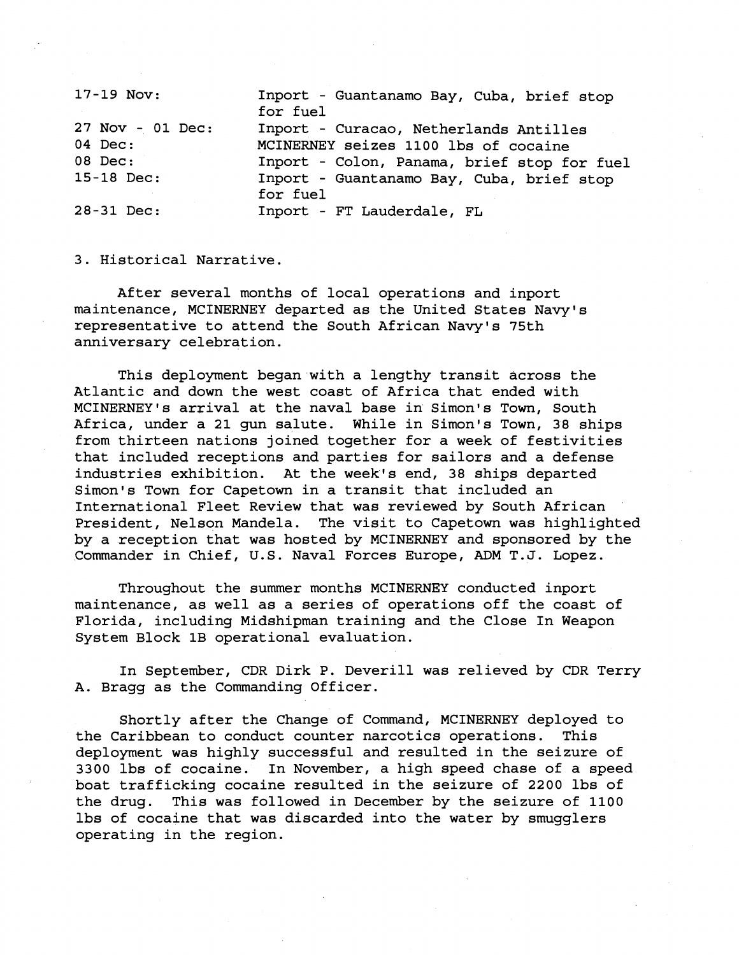17-19 Nov: Inport - Guantanamo Bay, Cuba, brief stop for fuel 27 Nov - 01 Dec: Inport - Curacao, Netherlands Antilles 04 Dec: MCINERNEY seizes 1100 lbs of cocaine 08 Dec: Inport - Colon, Panama, brief stop for fuel 15-18 Dec: Inport - Guantanamo Bay, Cuba, brief stop for fuel 28-31 Dec: Inport - FT Lauderdale, FL

3. Historical Narrative.

After several months of local operations and inport maintenance, MCINERNEY departed as the United States Navy's representative to attend the South African Navy's 75th anniversary celebration.

This deployment began with a lengthy transit across the Atlantic and down the west coast of Africa that ended with MCINERNEY's arrival at the naval base in Simon's Town, South Africa, under a 21 gun salute. While in Simon's Town, 38 ships from thirteen nations joined together for a week of festivities that included receptions and parties for sailors and a defense industries exhibition. At the week's end, 38 ships departed Simon's Town for Capetown in a transit that included an International Fleet Review that was reviewed by South African President, Nelson Mandela. The visit to Capetown was highlighted by a reception that was hosted by MCINERNEY and sponsored by the Commander in Chief, U.S. Naval Forces Europe, ADM T.J. Lopez.

Throughout the summer months MCINERNEY conducted inport maintenance, as well as a series of operations off the coast of Florida, including Midshipman training and the Close In Weapon System Block 1B operational evaluation.

In September, CDR Dirk P. Deverill was relieved by CDR Terry A. Bragg as the Commanding Officer.

Shortly after the Change of Command, MCINERNEY deployed to the Caribbean to conduct counter narcotics operations. This deployment was highly successful and resulted in the seizure of 3300 lbs of cocaine. In November, a high speed chase of a speed boat trafficking cocaine resulted in the seizure of **2200** lbs of the drug. This was followed in December by the seizure of 1100 lbs of cocaine that was discarded into the water by smugglers operating in the region.